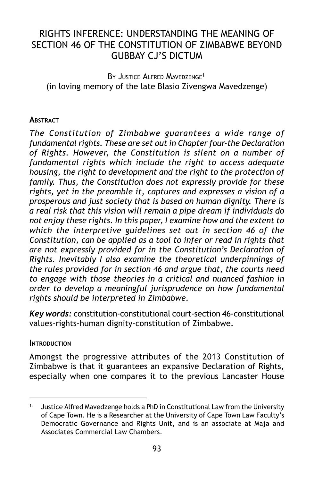# RIGHTS INFERENCE: UNDERSTANDING THE MEANING OF SECTION 46 OF THE CONSTITUTION OF ZIMBABWE BEYOND GUBBAY CJ'S DICTUM

BY JUSTICE ALFRED MAVEDZENGE<sup>1</sup> (in loving memory of the late Blasio Zivengwa Mavedzenge)

#### **ABSTRACT**

*The Constitution of Zimbabwe guarantees a wide range of fundamental rights. These are set out in Chapter four-the Declaration of Rights. However, the Constitution is silent on a number of fundamental rights which include the right to access adequate housing, the right to development and the right to the protection of family. Thus, the Constitution does not expressly provide for these rights, yet in the preamble it, captures and expresses a vision of a prosperous and just society that is based on human dignity. There is a real risk that this vision will remain a pipe dream if individuals do not enjoy these rights. In this paper, I examine how and the extent to which the interpretive guidelines set out in section 46 of the Constitution, can be applied as a tool to infer or read in rights that are not expressly provided for in the Constitution's Declaration of Rights. Inevitably I also examine the theoretical underpinnings of the rules provided for in section 46 and argue that, the courts need to engage with those theories in a critical and nuanced fashion in order to develop a meaningful jurisprudence on how fundamental rights should be interpreted in Zimbabwe.*

*Key words:* constitution-constitutional court-section 46-constitutional values-rights-human dignity-constitution of Zimbabwe.

#### **INTRODUCTION**

Amongst the progressive attributes of the 2013 Constitution of Zimbabwe is that it guarantees an expansive Declaration of Rights, especially when one compares it to the previous Lancaster House

Justice Alfred Mavedzenge holds a PhD in Constitutional Law from the University of Cape Town. He is a Researcher at the University of Cape Town Law Faculty's Democratic Governance and Rights Unit, and is an associate at Maja and Associates Commercial Law Chambers.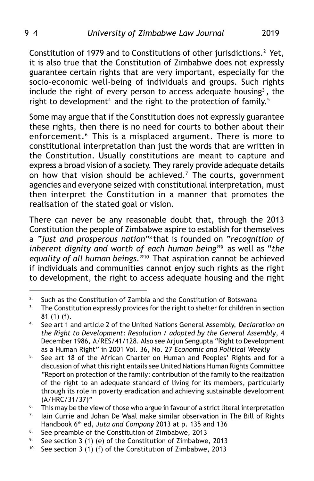Constitution of 1979 and to Constitutions of other jurisdictions.2 Yet, it is also true that the Constitution of Zimbabwe does not expressly guarantee certain rights that are very important, especially for the socio-economic well-being of individuals and groups. Such rights include the right of every person to access adequate housing<sup>3</sup>, the right to development<sup>4</sup> and the right to the protection of family.<sup>5</sup>

Some may argue that if the Constitution does not expressly guarantee these rights, then there is no need for courts to bother about their enforcement.<sup>6</sup> This is a misplaced argument. There is more to constitutional interpretation than just the words that are written in the Constitution. Usually constitutions are meant to capture and express a broad vision of a society. They rarely provide adequate details on how that vision should be achieved.<sup>7</sup> The courts, government agencies and everyone seized with constitutional interpretation, must then interpret the Constitution in a manner that promotes the realisation of the stated goal or vision.

There can never be any reasonable doubt that, through the 2013 Constitution the people of Zimbabwe aspire to establish for themselves a *"just and prosperous nation"*<sup>8</sup> that is founded on *"recognition of inherent dignity and worth of each human being*"9 as well as "*the equality of all human beings*."10 That aspiration cannot be achieved if individuals and communities cannot enjoy such rights as the right to development, the right to access adequate housing and the right

<sup>&</sup>lt;sup>2.</sup> Such as the Constitution of Zambia and the Constitution of Botswana

<sup>&</sup>lt;sup>3.</sup> The Constitution expressly provides for the right to shelter for children in section 81 (1) (f).

<sup>4.</sup> See art 1 and article 2 of the United Nations General Assembly, *Declaration on the Right to Development: Resolution / adopted by the General Assembly*, 4 December 1986, A/RES/41/128. Also see Arjun Sengupta "Right to Development as a Human Right" in 2001 Vol. 36, No. 27 *Economic and Political Weekly*

<sup>&</sup>lt;sup>5.</sup> See art 18 of the African Charter on Human and Peoples' Rights and for a discussion of what this right entails see United Nations Human Rights Committee "Report on protection of the family: contribution of the family to the realization of the right to an adequate standard of living for its members, particularly through its role in poverty eradication and achieving sustainable development (A/HRC/31/37)"

<sup>&</sup>lt;sup>6.</sup> This may be the view of those who argue in favour of a strict literal interpretation  $\frac{7}{1}$ . Lain Currie and Johan De Waal make similar observation in The Bill of Bights

Iain Currie and Johan De Waal make similar observation in The Bill of Rights Handbook 6th ed, *Juta and Company* 2013 at p. 135 and 136

<sup>&</sup>lt;sup>8.</sup> See preamble of the Constitution of Zimbabwe, 2013<br><sup>9.</sup> See section 3.(1) (e) of the Constitution of Zimbabwe

See section 3 (1) (e) of the Constitution of Zimbabwe, 2013

<sup>&</sup>lt;sup>10.</sup> See section 3 (1) (f) of the Constitution of Zimbabwe, 2013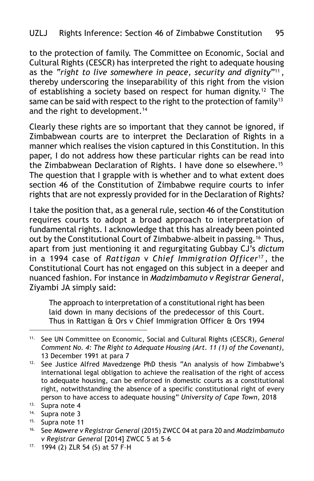to the protection of family. The Committee on Economic, Social and Cultural Rights (CESCR) has interpreted the right to adequate housing as the *"right to live somewhere in peace, security and dignity*"11 , thereby underscoring the inseparability of this right from the vision of establishing a society based on respect for human dignity.12 The same can be said with respect to the right to the protection of family<sup>13</sup> and the right to development.<sup>14</sup>

Clearly these rights are so important that they cannot be ignored, if Zimbabwean courts are to interpret the Declaration of Rights in a manner which realises the vision captured in this Constitution. In this paper, I do not address how these particular rights can be read into the Zimbabwean Declaration of Rights. I have done so elsewhere.<sup>15</sup> The question that I grapple with is whether and to what extent does section 46 of the Constitution of Zimbabwe require courts to infer rights that are not expressly provided for in the Declaration of Rights?

I take the position that, as a general rule, section 46 of the Constitution requires courts to adopt a broad approach to interpretation of fundamental rights. I acknowledge that this has already been pointed out by the Constitutional Court of Zimbabwe-albeit in passing.<sup>16</sup> Thus, apart from just mentioning it and regurgitating Gubbay CJ's *dictum* in a 1994 case of *Rattigan* v *Chief Immigration Officer*<sup>17</sup> , the Constitutional Court has not engaged on this subject in a deeper and nuanced fashion. For instance in *Madzimbamuto v Registrar General*, Ziyambi JA simply said:

The approach to interpretation of a constitutional right has been laid down in many decisions of the predecessor of this Court. Thus in Rattigan & Ors v Chief Immigration Officer & Ors 1994

- 14. Supra note 3
- 15. Supra note 11

<sup>11.</sup> See UN Committee on Economic, Social and Cultural Rights (CESCR), *General Comment No. 4: The Right to Adequate Housing (Art. 11 (1) of the Covenant)*, 13 December 1991 at para 7

<sup>12.</sup> See Justice Alfred Mavedzenge PhD thesis "An analysis of how Zimbabwe's international legal obligation to achieve the realisation of the right of access to adequate housing, can be enforced in domestic courts as a constitutional right, notwithstanding the absence of a specific constitutional right of every person to have access to adequate housing" *University of Cape Town*, 2018

<sup>13.</sup> Supra note 4

<sup>16.</sup> See *Mawere v Registrar General* (2015) ZWCC 04 at para 20 and *Madzimbamuto v Registrar General* [2014] ZWCC 5 at 5–6

<sup>17.</sup> 1994 (2) ZLR 54 (S) at 57 F–H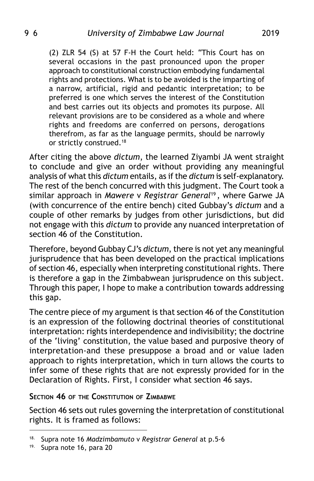(2) ZLR 54 (S) at 57 F-H the Court held: "This Court has on several occasions in the past pronounced upon the proper approach to constitutional construction embodying fundamental rights and protections. What is to be avoided is the imparting of a narrow, artificial, rigid and pedantic interpretation; to be preferred is one which serves the interest of the Constitution and best carries out its objects and promotes its purpose. All relevant provisions are to be considered as a whole and where rights and freedoms are conferred on persons, derogations therefrom, as far as the language permits, should be narrowly or strictly construed.18

After citing the above *dictum*, the learned Ziyambi JA went straight to conclude and give an order without providing any meaningful analysis of what this *dictum* entails, as if the *dictum* is self-explanatory. The rest of the bench concurred with this judgment. The Court took a similar approach in *Mawere* v *Registrar General*<sup>19</sup> , where Garwe JA (with concurrence of the entire bench) cited Gubbay's *dictum* and a couple of other remarks by judges from other jurisdictions, but did not engage with this *dictum* to provide any nuanced interpretation of section 46 of the Constitution.

Therefore, beyond Gubbay CJ's *dictum*, there is not yet any meaningful jurisprudence that has been developed on the practical implications of section 46, especially when interpreting constitutional rights. There is therefore a gap in the Zimbabwean jurisprudence on this subject. Through this paper, I hope to make a contribution towards addressing this gap.

The centre piece of my argument is that section 46 of the Constitution is an expression of the following doctrinal theories of constitutional interpretation: rights interdependence and indivisibility; the doctrine of the 'living' constitution, the value based and purposive theory of interpretation-and these presuppose a broad and or value laden approach to rights interpretation, which in turn allows the courts to infer some of these rights that are not expressly provided for in the Declaration of Rights. First, I consider what section 46 says.

#### **SECTION 46 OF THE CONSTITUTION OF ZIMBABWE**

Section 46 sets out rules governing the interpretation of constitutional rights. It is framed as follows:

<sup>18.</sup> Supra note 16 *Madzimbamuto* v *Registrar General* at p.5-6

<sup>19.</sup> Supra note 16, para 20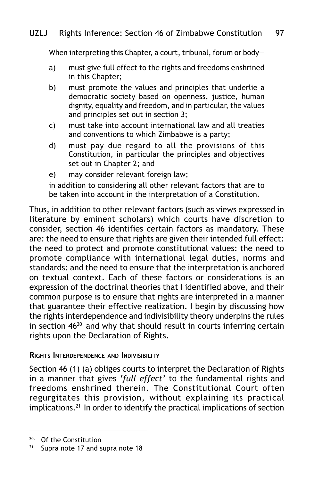When interpreting this Chapter, a court, tribunal, forum or body-

- a) must give full effect to the rights and freedoms enshrined in this Chapter;
- b) must promote the values and principles that underlie a democratic society based on openness, justice, human dignity, equality and freedom, and in particular, the values and principles set out in section 3;
- c) must take into account international law and all treaties and conventions to which Zimbabwe is a party;
- d) must pay due regard to all the provisions of this Constitution, in particular the principles and objectives set out in Chapter 2; and
- e) may consider relevant foreign law;

in addition to considering all other relevant factors that are to be taken into account in the interpretation of a Constitution.

Thus, in addition to other relevant factors (such as views expressed in literature by eminent scholars) which courts have discretion to consider, section 46 identifies certain factors as mandatory. These are: the need to ensure that rights are given their intended full effect: the need to protect and promote constitutional values: the need to promote compliance with international legal duties, norms and standards: and the need to ensure that the interpretation is anchored on textual context. Each of these factors or considerations is an expression of the doctrinal theories that I identified above, and their common purpose is to ensure that rights are interpreted in a manner that guarantee their effective realization. I begin by discussing how the rights interdependence and indivisibility theory underpins the rules in section 4620 and why that should result in courts inferring certain rights upon the Declaration of Rights.

#### **RIGHTS INTERDEPENDENCE AND INDIVISIBILITY**

Section 46 (1) (a) obliges courts to interpret the Declaration of Rights in a manner that gives *'full effect'* to the fundamental rights and freedoms enshrined therein. The Constitutional Court often regurgitates this provision, without explaining its practical implications.<sup>21</sup> In order to identify the practical implications of section

<sup>20.</sup> Of the Constitution

<sup>&</sup>lt;sup>21.</sup> Supra note 17 and supra note 18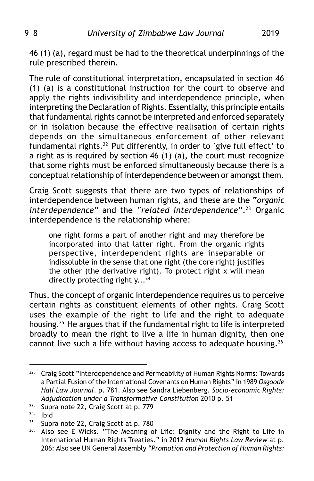46 (1) (a), regard must be had to the theoretical underpinnings of the rule prescribed therein.

The rule of constitutional interpretation, encapsulated in section 46 (1) (a) is a constitutional instruction for the court to observe and apply the rights indivisibility and interdependence principle, when interpreting the Declaration of Rights. Essentially, this principle entails that fundamental rights cannot be interpreted and enforced separately or in isolation because the effective realisation of certain rights depends on the simultaneous enforcement of other relevant fundamental rights.22 Put differently, in order to 'give full effect' to a right as is required by section 46 (1) (a), the court must recognize that some rights must be enforced simultaneously because there is a conceptual relationship of interdependence between or amongst them.

Craig Scott suggests that there are two types of relationships of interdependence between human rights, and these are the "*organic interdependence*" and the *"related interdependence*".23 Organic interdependence is the relationship where:

one right forms a part of another right and may therefore be incorporated into that latter right. From the organic rights perspective, interdependent rights are inseparable or indissoluble in the sense that one right (the core right) justifies the other (the derivative right). To protect right x will mean directly protecting right  $y...^{24}$ 

Thus, the concept of organic interdependence requires us to perceive certain rights as constituent elements of other rights. Craig Scott uses the example of the right to life and the right to adequate housing.25 He argues that if the fundamental right to life is interpreted broadly to mean the right to live a life in human dignity, then one cannot live such a life without having access to adequate housing.26

<sup>&</sup>lt;sup>22.</sup> Craig Scott "Interdependence and Permeability of Human Rights Norms: Towards a Partial Fusion of the International Covenants on Human Rights" in 1989 *Osgoode Hall Law Journal*. p. 781. Also see Sandra Liebenberg. *Socio-economic Rights: Adjudication under a Transformative Constitution* 2010 p. 51

<sup>23.</sup> Supra note 22, Craig Scott at p. 779

 $24.$  Ibid<br> $25.$  Suppl

 $25.$  Supra note 22, Craig Scott at p. 780<br> $26.$  Also see F Wicks "The Meaning o

Also see E Wicks. "The Meaning of Life: Dignity and the Right to Life in International Human Rights Treaties." in 2012 *Human Rights Law Review* at p. 206: Also see UN General Assembly *"Promotion and Protection of Human Rights:*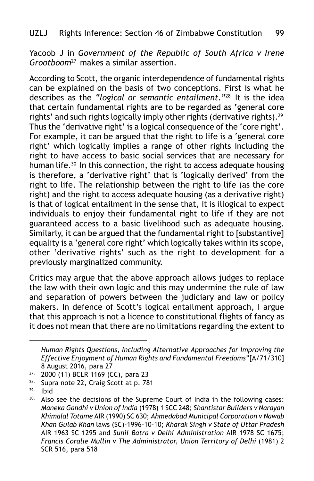Yacoob J in *Government of the Republic of South Africa v Irene Grootboom*27 makes a similar assertion.

According to Scott, the organic interdependence of fundamental rights can be explained on the basis of two conceptions. First is what he describes as the *"logical or semantic entailment."*28 It is the idea that certain fundamental rights are to be regarded as 'general core rights' and such rights logically imply other rights (derivative rights).<sup>29</sup> Thus the 'derivative right' is a logical consequence of the 'core right'. For example, it can be argued that the right to life is a 'general core right' which logically implies a range of other rights including the right to have access to basic social services that are necessary for human life.<sup>30</sup> In this connection, the right to access adequate housing is therefore, a 'derivative right' that is 'logically derived' from the right to life. The relationship between the right to life (as the core right) and the right to access adequate housing (as a derivative right) is that of logical entailment in the sense that, it is illogical to expect individuals to enjoy their fundamental right to life if they are not guaranteed access to a basic livelihood such as adequate housing. Similarly, it can be argued that the fundamental right to [substantive] equality is a 'general core right' which logically takes within its scope, other 'derivative rights' such as the right to development for a previously marginalized community.

Critics may argue that the above approach allows judges to replace the law with their own logic and this may undermine the rule of law and separation of powers between the judiciary and law or policy makers. In defence of Scott's logical entailment approach, I argue that this approach is not a licence to constitutional flights of fancy as it does not mean that there are no limitations regarding the extent to

*Human Rights Questions, Including Alternative Approaches for Improving the Effective Enjoyment of Human Rights and Fundamental Freedoms"*[A/71/310] 8 August 2016, para 27

 $27.$  2000 (11) BCLR 1169 (CC), para 23<br> $28.$  Supra note 22. Craig Scott at p. 78

Supra note 22, Craig Scott at p. 781

 $29.$  Ibid<br> $30.$  Also

Also see the decisions of the Supreme Court of India in the following cases: *Maneka Gandhi v Union of India* (1978) 1 SCC 248; *Shantistar Builders v Narayan Khimalal Totame* AIR (1990) SC 630; *Ahmedabad Municipal Corporation v Nawab Khan Gulab Khan* laws (SC)-1996-10-10; *Kharak Singh v State of Uttar Pradesh* AIR 1963 SC 1295 and *Sunil Batra v Delhi Administration* AIR 1978 SC 1675; *Francis Coralie Mullin v The Administrator, Union Territory of Delhi* (1981) 2 SCR 516, para 518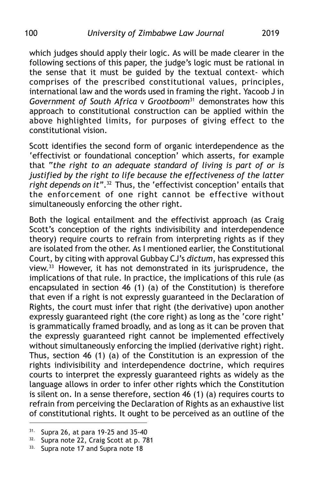which judges should apply their logic. As will be made clearer in the following sections of this paper, the judge's logic must be rational in the sense that it must be guided by the textual context- which comprises of the prescribed constitutional values, principles, international law and the words used in framing the right. Yacoob J in *Government of South Africa* v *Grootboom*31 demonstrates how this approach to constitutional construction can be applied within the above highlighted limits, for purposes of giving effect to the constitutional vision.

Scott identifies the second form of organic interdependence as the 'effectivist or foundational conception' which asserts, for example that "*the right to an adequate standard of living is part of or is justified by the right to life because the effectiveness of the latter right depends on it"*.32 Thus, the 'effectivist conception' entails that the enforcement of one right cannot be effective without simultaneously enforcing the other right.

Both the logical entailment and the effectivist approach (as Craig Scott's conception of the rights indivisibility and interdependence theory) require courts to refrain from interpreting rights as if they are isolated from the other. As I mentioned earlier, the Constitutional Court, by citing with approval Gubbay CJ's *dictum*, has expressed this view.33 However, it has not demonstrated in its jurisprudence, the implications of that rule. In practice, the implications of this rule (as encapsulated in section 46 (1) (a) of the Constitution) is therefore that even if a right is not expressly guaranteed in the Declaration of Rights, the court must infer that right (the derivative) upon another expressly guaranteed right (the core right) as long as the 'core right' is grammatically framed broadly, and as long as it can be proven that the expressly guaranteed right cannot be implemented effectively without simultaneously enforcing the implied (derivative right) right. Thus, section 46 (1) (a) of the Constitution is an expression of the rights indivisibility and interdependence doctrine, which requires courts to interpret the expressly guaranteed rights as widely as the language allows in order to infer other rights which the Constitution is silent on. In a sense therefore, section 46 (1) (a) requires courts to refrain from perceiving the Declaration of Rights as an exhaustive list of constitutional rights. It ought to be perceived as an outline of the

<sup>31.</sup> Supra 26, at para 19-25 and 35-40

<sup>&</sup>lt;sup>32.</sup> Supra note 22, Craig Scott at p. 781

<sup>33.</sup> Supra note 17 and Supra note 18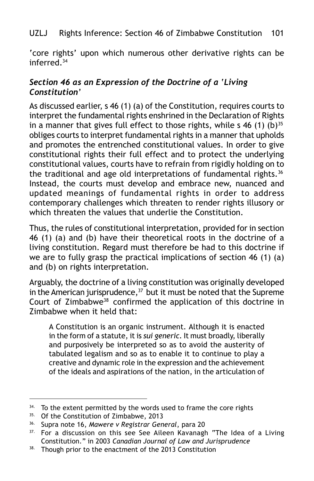'core rights' upon which numerous other derivative rights can be inferred.34

### *Section 46 as an Expression of the Doctrine of a 'Living Constitution'*

As discussed earlier, s 46 (1) (a) of the Constitution, requires courts to interpret the fundamental rights enshrined in the Declaration of Rights in a manner that gives full effect to those rights, while  $s$  46 (1) (b)<sup>35</sup> obliges courts to interpret fundamental rights in a manner that upholds and promotes the entrenched constitutional values. In order to give constitutional rights their full effect and to protect the underlying constitutional values, courts have to refrain from rigidly holding on to the traditional and age old interpretations of fundamental rights.<sup>36</sup> Instead, the courts must develop and embrace new, nuanced and updated meanings of fundamental rights in order to address contemporary challenges which threaten to render rights illusory or which threaten the values that underlie the Constitution.

Thus, the rules of constitutional interpretation, provided for in section 46 (1) (a) and (b) have their theoretical roots in the doctrine of a living constitution. Regard must therefore be had to this doctrine if we are to fully grasp the practical implications of section 46 (1) (a) and (b) on rights interpretation.

Arguably, the doctrine of a living constitution was originally developed in the American jurisprudence, $37$  but it must be noted that the Supreme Court of Zimbabwe38 confirmed the application of this doctrine in Zimbabwe when it held that:

A Constitution is an organic instrument. Although it is enacted in the form of a statute, it is *sui generic*. It must broadly, liberally and purposively be interpreted so as to avoid the austerity of tabulated legalism and so as to enable it to continue to play a creative and dynamic role in the expression and the achievement of the ideals and aspirations of the nation, in the articulation of

<sup>&</sup>lt;sup>34.</sup> To the extent permitted by the words used to frame the core rights

<sup>35.</sup> Of the Constitution of Zimbabwe, 2013

<sup>36.</sup> Supra note 16, *Mawere v Registrar General*, para 20

<sup>&</sup>lt;sup>37.</sup> For a discussion on this see See Aileen Kavanagh "The Idea of a Living Constitution." in 2003 *Canadian Journal of Law and Jurisprudence*

<sup>38.</sup> Though prior to the enactment of the 2013 Constitution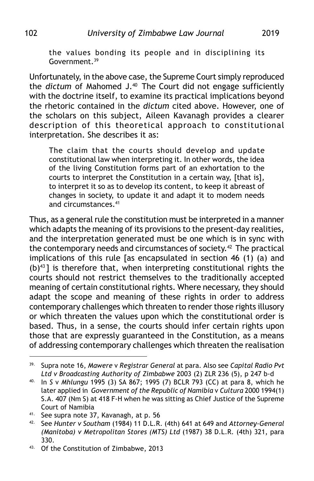the values bonding its people and in disciplining its Government.39

Unfortunately, in the above case, the Supreme Court simply reproduced the *dictum* of Mahomed J.40 The Court did not engage sufficiently with the doctrine itself, to examine its practical implications beyond the rhetoric contained in the *dictum* cited above. However, one of the scholars on this subject, Aileen Kavanagh provides a clearer description of this theoretical approach to constitutional interpretation. She describes it as:

The claim that the courts should develop and update constitutional law when interpreting it. In other words, the idea of the living Constitution forms part of an exhortation to the courts to interpret the Constitution in a certain way, [that is], to interpret it so as to develop its content, to keep it abreast of changes in society, to update it and adapt it to modem needs and circumstances.41

Thus, as a general rule the constitution must be interpreted in a manner which adapts the meaning of its provisions to the present-day realities, and the interpretation generated must be one which is in sync with the contemporary needs and circumstances of society.<sup>42</sup> The practical implications of this rule [as encapsulated in section 46 (1) (a) and  $(b)^{43}$ ] is therefore that, when interpreting constitutional rights the courts should not restrict themselves to the traditionally accepted meaning of certain constitutional rights. Where necessary, they should adapt the scope and meaning of these rights in order to address contemporary challenges which threaten to render those rights illusory or which threaten the values upon which the constitutional order is based. Thus, in a sense, the courts should infer certain rights upon those that are expressly guaranteed in the Constitution, as a means of addressing contemporary challenges which threaten the realisation

<sup>39.</sup> Supra note 16, *Mawere* v *Registrar General* at para*.* Also see *Capital Radio Pvt Ltd v Broadcasting Authority of Zimbabwe* 2003 (2) ZLR 236 (5), p 247 b-d

<sup>40.</sup> In *S* v *Mhlungu* 1995 (3) SA 867; 1995 (7) BCLR 793 (CC) at para 8, which he later applied in *Government of the Republic of Namibia* v *Cultura* 2000 1994(1) S.A. 407 (Nm S) at 418 F-H when he was sitting as Chief Justice of the Supreme Court of Namibia

<sup>41.</sup> See supra note 37, Kavanagh, at p. 56

<sup>42.</sup> See *Hunter v Southam* (1984) 11 D.L.R. (4th) 641 at 649 and *Attorney-General (Manitoba) v Metropolitan Stores (MTS) Ltd* (1987) 38 D.L.R. (4th) 321, para 330.

<sup>43.</sup> Of the Constitution of Zimbabwe, 2013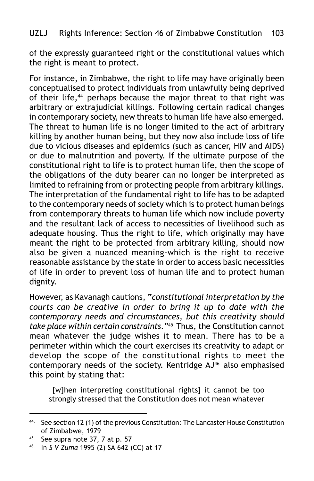of the expressly guaranteed right or the constitutional values which the right is meant to protect.

For instance, in Zimbabwe, the right to life may have originally been conceptualised to protect individuals from unlawfully being deprived of their life,<sup>44</sup> perhaps because the major threat to that right was arbitrary or extrajudicial killings. Following certain radical changes in contemporary society, new threats to human life have also emerged. The threat to human life is no longer limited to the act of arbitrary killing by another human being, but they now also include loss of life due to vicious diseases and epidemics (such as cancer, HIV and AIDS) or due to malnutrition and poverty. If the ultimate purpose of the constitutional right to life is to protect human life, then the scope of the obligations of the duty bearer can no longer be interpreted as limited to refraining from or protecting people from arbitrary killings. The interpretation of the fundamental right to life has to be adapted to the contemporary needs of society which is to protect human beings from contemporary threats to human life which now include poverty and the resultant lack of access to necessities of livelihood such as adequate housing. Thus the right to life, which originally may have meant the right to be protected from arbitrary killing, should now also be given a nuanced meaning-which is the right to receive reasonable assistance by the state in order to access basic necessities of life in order to prevent loss of human life and to protect human dignity.

However, as Kavanagh cautions, "*constitutional interpretation by the courts can be creative in order to bring it up to date with the contemporary needs and circumstances, but this creativity should take place within certain constraints*."45 Thus, the Constitution cannot mean whatever the judge wishes it to mean. There has to be a perimeter within which the court exercises its creativity to adapt or develop the scope of the constitutional rights to meet the contemporary needs of the society. Kentridge AJ<sup>46</sup> also emphasised this point by stating that:

 [w]hen interpreting constitutional rights] it cannot be too strongly stressed that the Constitution does not mean whatever

<sup>44.</sup> See section 12 (1) of the previous Constitution: The Lancaster House Constitution of Zimbabwe, 1979

 $45.$  See supra note 37, 7 at p. 57

<sup>46.</sup> In *S V Zuma* 1995 (2) SA 642 (CC) at 17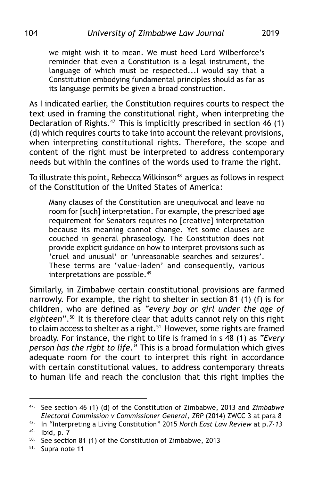we might wish it to mean. We must heed Lord Wilberforce's reminder that even a Constitution is a legal instrument, the language of which must be respected...I would say that a Constitution embodying fundamental principles should as far as its language permits be given a broad construction.

As I indicated earlier, the Constitution requires courts to respect the text used in framing the constitutional right, when interpreting the Declaration of Rights.<sup>47</sup> This is implicitly prescribed in section 46 (1) (d) which requires courts to take into account the relevant provisions, when interpreting constitutional rights. Therefore, the scope and content of the right must be interpreted to address contemporary needs but within the confines of the words used to frame the right.

To illustrate this point, Rebecca Wilkinson<sup>48</sup> argues as follows in respect of the Constitution of the United States of America:

Many clauses of the Constitution are unequivocal and leave no room for [such] interpretation. For example, the prescribed age requirement for Senators requires no [creative] interpretation because its meaning cannot change. Yet some clauses are couched in general phraseology. The Constitution does not provide explicit guidance on how to interpret provisions such as 'cruel and unusual' or 'unreasonable searches and seizures'. These terms are 'value-laden' and consequently, various interpretations are possible.<sup>49</sup>

Similarly, in Zimbabwe certain constitutional provisions are farmed narrowly. For example, the right to shelter in section 81 (1) (f) is for children, who are defined as *"every boy or girl under the age of eighteen*".50 It is therefore clear that adults cannot rely on this right to claim access to shelter as a right.<sup>51</sup> However, some rights are framed broadly. For instance, the right to life is framed in s 48 (1) as *"Every person has the right to life."* This is a broad formulation which gives adequate room for the court to interpret this right in accordance with certain constitutional values, to address contemporary threats to human life and reach the conclusion that this right implies the

<sup>47.</sup> See section 46 (1) (d) of the Constitution of Zimbabwe, 2013 and *Zimbabwe Electoral Commission v Commissioner General, ZRP* (2014) ZWCC 3 at para 8

<sup>48.</sup> In "Interpreting a Living Constitution" 2015 *North East Law Review* at p.*7-13*  $49.$  Ibid, p. 7

<sup>50.</sup> See section 81 (1) of the Constitution of Zimbabwe, 2013

<sup>51.</sup> Supra note 11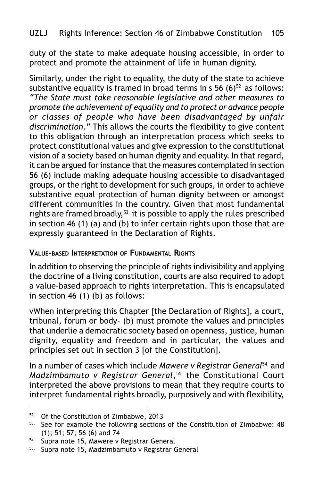duty of the state to make adequate housing accessible, in order to protect and promote the attainment of life in human dignity.

Similarly, under the right to equality, the duty of the state to achieve substantive equality is framed in broad terms in  $s$  56 (6)<sup>52</sup> as follows: *"The State must take reasonable legislative and other measures to promote the achievement of equality and to protect or advance people or classes of people who have been disadvantaged by unfair discrimination."* This allows the courts the flexibility to give content to this obligation through an interpretation process which seeks to protect constitutional values and give expression to the constitutional vision of a society based on human dignity and equality. In that regard, it can be argued for instance that the measures contemplated in section 56 (6) include making adequate housing accessible to disadvantaged groups, or the right to development for such groups, in order to achieve substantive equal protection of human dignity between or amongst different communities in the country. Given that most fundamental rights are framed broadly,<sup>53</sup> it is possible to apply the rules prescribed in section 46 (1) (a) and (b) to infer certain rights upon those that are expressly guaranteed in the Declaration of Rights.

### **VALUE-BASED INTERPRETATION OF FUNDAMENTAL RIGHTS**

In addition to observing the principle of rights indivisibility and applying the doctrine of a living constitution, courts are also required to adopt a value-based approach to rights interpretation. This is encapsulated in section 46 (1) (b) as follows:

vWhen interpreting this Chapter [the Declaration of Rights], a court, tribunal, forum or body- (b) must promote the values and principles that underlie a democratic society based on openness, justice, human dignity, equality and freedom and in particular, the values and principles set out in section 3 [of the Constitution].

In a number of cases which include *Mawere v Registrar General*<sup>54</sup> and *Madzimbamuto v Registrar General,*<sup>55</sup> the Constitutional Court interpreted the above provisions to mean that they require courts to interpret fundamental rights broadly, purposively and with flexibility,

<sup>52.</sup> Of the Constitution of Zimbabwe, 2013

<sup>53.</sup> See for example the following sections of the Constitution of Zimbabwe: 48 (1); 51; 57; 56 (6) and 74

<sup>54.</sup> Supra note 15, Mawere v Registrar General

<sup>55.</sup> Supra note 15, Madzimbamuto v Registrar General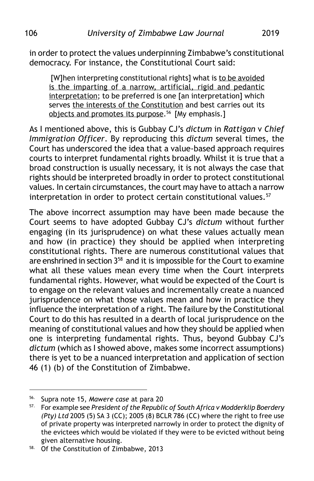in order to protect the values underpinning Zimbabwe's constitutional democracy. For instance, the Constitutional Court said:

 [W]hen interpreting constitutional rights] what is to be avoided is the imparting of a narrow, artificial, rigid and pedantic interpretation; to be preferred is one [an interpretation] which serves the interests of the Constitution and best carries out its objects and promotes its purpose.<sup>56</sup> [My emphasis.]

As I mentioned above, this is Gubbay CJ's *dictum* in *Rattigan* v *Chief Immigration Officer*. By reproducing this *dictum* several times, the Court has underscored the idea that a value-based approach requires courts to interpret fundamental rights broadly. Whilst it is true that a broad construction is usually necessary, it is not always the case that rights should be interpreted broadly in order to protect constitutional values. In certain circumstances, the court may have to attach a narrow interpretation in order to protect certain constitutional values.<sup>57</sup>

The above incorrect assumption may have been made because the Court seems to have adopted Gubbay CJ's *dictum* without further engaging (in its jurisprudence) on what these values actually mean and how (in practice) they should be applied when interpreting constitutional rights. There are numerous constitutional values that are enshrined in section 3<sup>58</sup> and it is impossible for the Court to examine what all these values mean every time when the Court interprets fundamental rights. However, what would be expected of the Court is to engage on the relevant values and incrementally create a nuanced jurisprudence on what those values mean and how in practice they influence the interpretation of a right. The failure by the Constitutional Court to do this has resulted in a dearth of local jurisprudence on the meaning of constitutional values and how they should be applied when one is interpreting fundamental rights. Thus, beyond Gubbay CJ's *dictum* (which as I showed above, makes some incorrect assumptions) there is yet to be a nuanced interpretation and application of section 46 (1) (b) of the Constitution of Zimbabwe.

<sup>56.</sup> Supra note 15, *Mawere case* at para 20

<sup>57.</sup> For example see *President of the Republic of South Africa v Modderklip Boerdery (Pty) Ltd* 2005 (5) SA 3 (CC); 2005 (8) BCLR 786 (CC) where the right to free use of private property was interpreted narrowly in order to protect the dignity of the evictees which would be violated if they were to be evicted without being given alternative housing.

<sup>58.</sup> Of the Constitution of Zimbabwe, 2013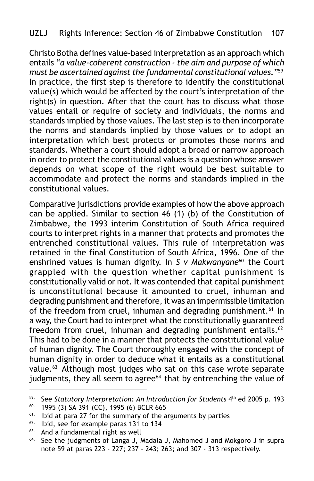Christo Botha defines value-based interpretation as an approach which entails "*a value-coherent construction - the aim and purpose of which must be ascertained against the fundamental constitutional values.*"59 In practice, the first step is therefore to identify the constitutional value(s) which would be affected by the court's interpretation of the right(s) in question. After that the court has to discuss what those values entail or require of society and individuals, the norms and standards implied by those values. The last step is to then incorporate the norms and standards implied by those values or to adopt an interpretation which best protects or promotes those norms and standards. Whether a court should adopt a broad or narrow approach in order to protect the constitutional values is a question whose answer depends on what scope of the right would be best suitable to accommodate and protect the norms and standards implied in the constitutional values.

Comparative jurisdictions provide examples of how the above approach can be applied. Similar to section 46 (1) (b) of the Constitution of Zimbabwe, the 1993 interim Constitution of South Africa required courts to interpret rights in a manner that protects and promotes the entrenched constitutional values. This rule of interpretation was retained in the final Constitution of South Africa, 1996. One of the enshrined values is human dignity. In *S v Makwanyane<sup>60</sup>* the Court grappled with the question whether capital punishment is constitutionally valid or not. It was contended that capital punishment is unconstitutional because it amounted to cruel, inhuman and degrading punishment and therefore, it was an impermissible limitation of the freedom from cruel, inhuman and degrading punishment.<sup>61</sup> In a way, the Court had to interpret what the constitutionally guaranteed freedom from cruel, inhuman and degrading punishment entails. $62$ This had to be done in a manner that protects the constitutional value of human dignity. The Court thoroughly engaged with the concept of human dignity in order to deduce what it entails as a constitutional value.<sup>63</sup> Although most judges who sat on this case wrote separate judgments, they all seem to agree<sup>64</sup> that by entrenching the value of

<sup>&</sup>lt;sup>59.</sup> See *Statutory Interpretation: An Introduction for Students*  $4^{th}$  ed 2005 p. 193<br><sup>60.</sup> 1995 (3) SA 391 (CC), 1995 (6) BCLP 665

<sup>60.</sup> 1995 (3) SA 391 (CC), 1995 (6) BCLR 665

<sup>&</sup>lt;sup>61.</sup> Ibid at para 27 for the summary of the arguments by parties

 $62.$  Ibid, see for example paras 131 to 134  $63.$  And a fundamental right as well

And a fundamental right as well

<sup>64.</sup> See the judgments of Langa J, Madala J, Mahomed J and Mokgoro J in supra note 59 at paras 223 - 227; 237 - 243; 263; and 307 - 313 respectively.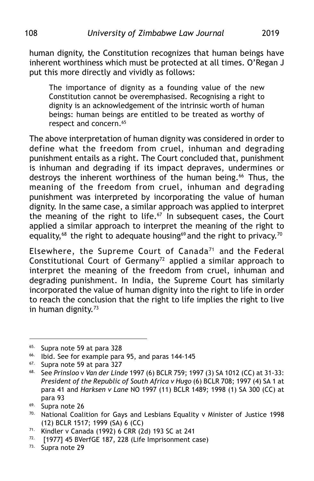human dignity, the Constitution recognizes that human beings have inherent worthiness which must be protected at all times. O'Regan J put this more directly and vividly as follows:

The importance of dignity as a founding value of the new Constitution cannot be overemphasised. Recognising a right to dignity is an acknowledgement of the intrinsic worth of human beings: human beings are entitled to be treated as worthy of respect and concern.<sup>65</sup>

The above interpretation of human dignity was considered in order to define what the freedom from cruel, inhuman and degrading punishment entails as a right. The Court concluded that, punishment is inhuman and degrading if its impact depraves, undermines or destroys the inherent worthiness of the human being.<sup>66</sup> Thus, the meaning of the freedom from cruel, inhuman and degrading punishment was interpreted by incorporating the value of human dignity. In the same case, a similar approach was applied to interpret the meaning of the right to life. $67$  In subsequent cases, the Court applied a similar approach to interpret the meaning of the right to equality,<sup>68</sup> the right to adequate housing<sup>69</sup> and the right to privacy.<sup>70</sup>

Elsewhere, the Supreme Court of Canada<sup>71</sup> and the Federal Constitutional Court of Germany<sup>72</sup> applied a similar approach to interpret the meaning of the freedom from cruel, inhuman and degrading punishment. In India, the Supreme Court has similarly incorporated the value of human dignity into the right to life in order to reach the conclusion that the right to life implies the right to live in human dignity.<sup>73</sup>

<sup>65.</sup> Supra note 59 at para 328

<sup>66.</sup> Ibid. See for example para 95, and paras 144-145

 $67.$  Supra note 59 at para 327<br> $68.$  See Prinsloo v Van der Ling

<sup>68.</sup> See *Prinsloo* v *Van der Linde* 1997 (6) BCLR 759; 1997 (3) SA 1012 (CC) at 31-33: *President of the Republic of South Africa v Hugo* (6) BCLR 708; 1997 (4) SA 1 at para 41 and *Harksen v Lane* NO 1997 (11) BCLR 1489; 1998 (1) SA 300 (CC) at para 93

<sup>69.</sup> Supra note 26

 $70.$  National Coalition for Gays and Lesbians Equality v Minister of Justice 1998 (12) BCLR 1517; 1999 (SA) 6 (CC)

<sup>71.</sup> Kindler v Canada (1992) 6 CRR (2d) 193 SC at 241

 $72.$  [1977] 45 BVerfGE 187, 228 (Life Imprisonment case)

<sup>73.</sup> Supra note 29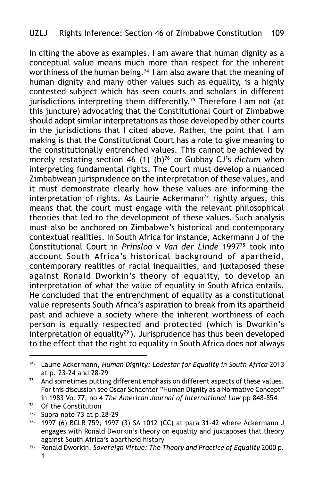In citing the above as examples, I am aware that human dignity as a conceptual value means much more than respect for the inherent worthiness of the human being.<sup>74</sup> I am also aware that the meaning of human dignity and many other values such as equality, is a highly contested subject which has seen courts and scholars in different jurisdictions interpreting them differently.<sup>75</sup> Therefore I am not (at this juncture) advocating that the Constitutional Court of Zimbabwe should adopt similar interpretations as those developed by other courts in the jurisdictions that I cited above. Rather, the point that I am making is that the Constitutional Court has a role to give meaning to the constitutionally entrenched values. This cannot be achieved by merely restating section 46 (1) (b)<sup>76</sup> or Gubbay CJ's *dictum* when interpreting fundamental rights. The Court must develop a nuanced Zimbabwean jurisprudence on the interpretation of these values, and it must demonstrate clearly how these values are informing the interpretation of rights. As Laurie Ackermann<sup>77</sup> rightly argues, this means that the court must engage with the relevant philosophical theories that led to the development of these values. Such analysis must also be anchored on Zimbabwe's historical and contemporary contextual realities. In South Africa for instance, Ackermann J of the Constitutional Court in *Prinsloo* v *Van der Linde* 199778 took into account South Africa's historical background of apartheid, contemporary realities of racial inequalities, and juxtaposed these against Ronald Dworkin's theory of equality, to develop an interpretation of what the value of equality in South Africa entails. He concluded that the entrenchment of equality as a constitutional value represents South Africa's aspiration to break from its apartheid past and achieve a society where the inherent worthiness of each person is equally respected and protected (which is Dworkin's interpretation of equality<sup>79</sup>). Jurisprudence has thus been developed to the effect that the right to equality in South Africa does not always

<sup>74.</sup> Laurie Ackermann, *Human Dignity: Lodestar for Equality in South Africa* 2013 at p. 23-24 and 28-29

 $75.$  And sometimes putting different emphasis on different aspects of these values. For this discussion see Oscar Schachter "Human Dignity as a Normative Concept" in 1983 Vol 77, no 4 *The American Journal of International Law* pp 848-854

<sup>&</sup>lt;sup>76.</sup> Of the Constitution<br><sup>77.</sup> Supra note 73 at p.

Supra note 73 at p.28-29

<sup>78.</sup> 1997 (6) BCLR 759; 1997 (3) SA 1012 (CC) at para 31-42 where Ackermann J engages with Ronald Dworkin's theory on equality and juxtaposes that theory against South Africa's apartheid history

<sup>79.</sup> Ronald Dworkin. *Sovereign Virtue: The Theory and Practice of Equality* 2000 p. 1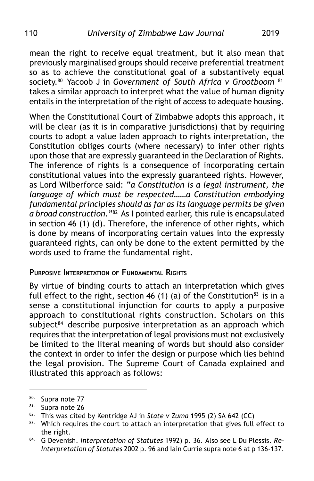mean the right to receive equal treatment, but it also mean that previously marginalised groups should receive preferential treatment so as to achieve the constitutional goal of a substantively equal society.80 Yacoob J in *Government of South Africa v Grootboom* <sup>81</sup> takes a similar approach to interpret what the value of human dignity entails in the interpretation of the right of access to adequate housing.

When the Constitutional Court of Zimbabwe adopts this approach, it will be clear (as it is in comparative jurisdictions) that by requiring courts to adopt a value laden approach to rights interpretation, the Constitution obliges courts (where necessary) to infer other rights upon those that are expressly guaranteed in the Declaration of Rights. The inference of rights is a consequence of incorporating certain constitutional values into the expressly guaranteed rights. However, as Lord Wilberforce said: "*a Constitution is a legal instrument, the language of which must be respected……a Constitution embodying fundamental principles should as far as its language permits be given a broad construction."*82 As I pointed earlier, this rule is encapsulated in section 46 (1) (d). Therefore, the inference of other rights, which is done by means of incorporating certain values into the expressly guaranteed rights, can only be done to the extent permitted by the words used to frame the fundamental right.

#### **PURPOSIVE INTERPRETATION OF FUNDAMENTAL RIGHTS**

By virtue of binding courts to attach an interpretation which gives full effect to the right, section 46 (1) (a) of the Constitution<sup>83</sup> is in a sense a constitutional injunction for courts to apply a purposive approach to constitutional rights construction. Scholars on this subject<sup>84</sup> describe purposive interpretation as an approach which requires that the interpretation of legal provisions must not exclusively be limited to the literal meaning of words but should also consider the context in order to infer the design or purpose which lies behind the legal provision. The Supreme Court of Canada explained and illustrated this approach as follows:

<sup>80.</sup> Supra note 77

<sup>81.</sup> Supra note 26

<sup>82.</sup> This was cited by Kentridge AJ in *State v Zuma* 1995 (2) SA 642 (CC)

<sup>83.</sup> Which requires the court to attach an interpretation that gives full effect to the right.

<sup>84.</sup> G Devenish. *Interpretation of Statutes* 1992) p. 36. Also see L Du Plessis. *Re-Interpretation of Statutes* 2002 p. 96 and Iain Currie supra note 6 at p 136-137.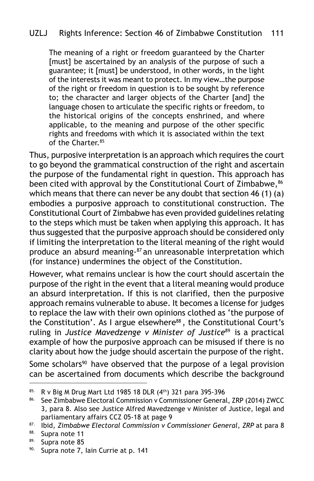The meaning of a right or freedom guaranteed by the Charter [must] be ascertained by an analysis of the purpose of such a guarantee; it [must] be understood, in other words, in the light of the interests it was meant to protect. In my view…the purpose of the right or freedom in question is to be sought by reference to; the character and larger objects of the Charter [and] the language chosen to articulate the specific rights or freedom, to the historical origins of the concepts enshrined, and where applicable, to the meaning and purpose of the other specific rights and freedoms with which it is associated within the text of the Charter.85

Thus, purposive interpretation is an approach which requires the court to go beyond the grammatical construction of the right and ascertain the purpose of the fundamental right in question. This approach has been cited with approval by the Constitutional Court of Zimbabwe, 86 which means that there can never be any doubt that section 46 (1) (a) embodies a purposive approach to constitutional construction. The Constitutional Court of Zimbabwe has even provided guidelines relating to the steps which must be taken when applying this approach. It has thus suggested that the purposive approach should be considered only if limiting the interpretation to the literal meaning of the right would produce an absurd meaning-87 an unreasonable interpretation which (for instance) undermines the object of the Constitution.

However, what remains unclear is how the court should ascertain the purpose of the right in the event that a literal meaning would produce an absurd interpretation. If this is not clarified, then the purposive approach remains vulnerable to abuse. It becomes a license for judges to replace the law with their own opinions clothed as 'the purpose of the Constitution'. As I argue elsewhere<sup>88</sup>, the Constitutional Court's ruling in *Justice Mavedzenge v Minister of Justice*89 is a practical example of how the purposive approach can be misused if there is no clarity about how the judge should ascertain the purpose of the right.

Some scholars<sup>90</sup> have observed that the purpose of a legal provision can be ascertained from documents which describe the background

<sup>85.</sup> R v Big M Drug Mart Ltd 1985 18 DLR (4th) 321 para 395-396

<sup>86.</sup> See Zimbabwe Electoral Commission v Commissioner General, ZRP (2014) ZWCC 3, para 8. Also see Justice Alfred Mavedzenge v Minister of Justice, legal and parliamentary affairs CCZ 05-18 at page 9

<sup>87.</sup> Ibid, *Zimbabwe Electoral Commission v Commissioner General, ZRP* at para 8

<sup>88.</sup> Supra note 11

 $89.$  Supra note 85<br> $89.$  Sunra note 7.

Supra note 7, Iain Currie at p. 141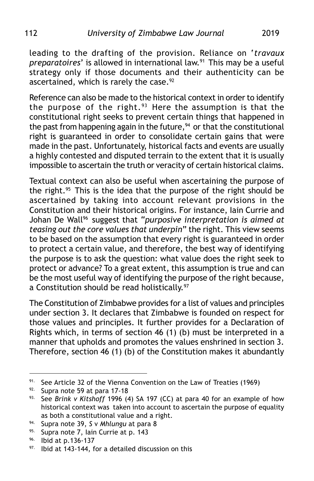leading to the drafting of the provision. Reliance on '*travaux preparatoires*' is allowed in international law.91 This may be a useful strategy only if those documents and their authenticity can be ascertained, which is rarely the case.<sup>92</sup>

Reference can also be made to the historical context in order to identify the purpose of the right.<sup>93</sup> Here the assumption is that the constitutional right seeks to prevent certain things that happened in the past from happening again in the future, $94$  or that the constitutional right is guaranteed in order to consolidate certain gains that were made in the past. Unfortunately, historical facts and events are usually a highly contested and disputed terrain to the extent that it is usually impossible to ascertain the truth or veracity of certain historical claims.

Textual context can also be useful when ascertaining the purpose of the right.<sup>95</sup> This is the idea that the purpose of the right should be ascertained by taking into account relevant provisions in the Constitution and their historical origins. For instance, Iain Currie and Johan De Wall<sup>96</sup> suggest that "*purposive interpretation is aimed at teasing out the core values that underpin*" the right. This view seems to be based on the assumption that every right is guaranteed in order to protect a certain value, and therefore, the best way of identifying the purpose is to ask the question: what value does the right seek to protect or advance? To a great extent, this assumption is true and can be the most useful way of identifying the purpose of the right because, a Constitution should be read holistically.<sup>97</sup>

The Constitution of Zimbabwe provides for a list of values and principles under section 3. It declares that Zimbabwe is founded on respect for those values and principles. It further provides for a Declaration of Rights which, in terms of section 46 (1) (b) must be interpreted in a manner that upholds and promotes the values enshrined in section 3. Therefore, section 46 (1) (b) of the Constitution makes it abundantly

<sup>91.</sup> See Article 32 of the Vienna Convention on the Law of Treaties (1969)

<sup>92.</sup> Supra note 59 at para 17-18

<sup>93.</sup> See *Brink v Kitshoff* 1996 (4) SA 197 (CC) at para 40 for an example of how historical context was taken into account to ascertain the purpose of equality as both a constitutional value and a right.

<sup>94.</sup> Supra note 39, *S* v *Mhlungu* at para 8

<sup>95.</sup> Supra note 7, Iain Currie at p. 143

<sup>96.</sup> Ibid at p.136-137

<sup>97.</sup> Ibid at 143-144, for a detailed discussion on this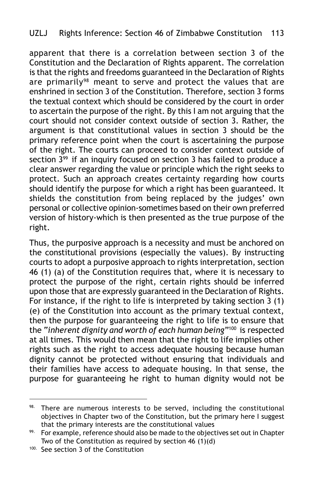apparent that there is a correlation between section 3 of the Constitution and the Declaration of Rights apparent. The correlation is that the rights and freedoms guaranteed in the Declaration of Rights are primarily<sup>98</sup> meant to serve and protect the values that are enshrined in section 3 of the Constitution. Therefore, section 3 forms the textual context which should be considered by the court in order to ascertain the purpose of the right. By this I am not arguing that the court should not consider context outside of section 3. Rather, the argument is that constitutional values in section 3 should be the primary reference point when the court is ascertaining the purpose of the right. The courts can proceed to consider context outside of section 3<sup>99</sup> if an inquiry focused on section 3 has failed to produce a clear answer regarding the value or principle which the right seeks to protect. Such an approach creates certainty regarding how courts should identify the purpose for which a right has been guaranteed. It shields the constitution from being replaced by the judges' own personal or collective opinion-sometimes based on their own preferred version of history-which is then presented as the true purpose of the right.

Thus, the purposive approach is a necessity and must be anchored on the constitutional provisions (especially the values). By instructing courts to adopt a purposive approach to rights interpretation, section 46 (1) (a) of the Constitution requires that, where it is necessary to protect the purpose of the right, certain rights should be inferred upon those that are expressly guaranteed in the Declaration of Rights. For instance, if the right to life is interpreted by taking section 3 (1) (e) of the Constitution into account as the primary textual context, then the purpose for guaranteeing the right to life is to ensure that the "*inherent dignity and worth of each human being*"100 is respected at all times. This would then mean that the right to life implies other rights such as the right to access adequate housing because human dignity cannot be protected without ensuring that individuals and their families have access to adequate housing. In that sense, the purpose for guaranteeing he right to human dignity would not be

 $98.$  There are numerous interests to be served, including the constitutional objectives in Chapter two of the Constitution, but the primary here I suggest that the primary interests are the constitutional values

 $99.$  For example, reference should also be made to the objectives set out in Chapter Two of the Constitution as required by section 46 (1)(d)

<sup>&</sup>lt;sup>100.</sup> See section 3 of the Constitution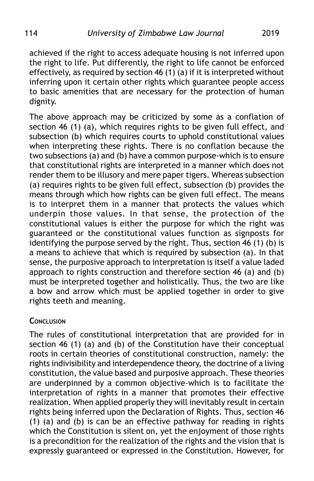achieved if the right to access adequate housing is not inferred upon the right to life. Put differently, the right to life cannot be enforced effectively, as required by section 46 (1) (a) if it is interpreted without inferring upon it certain other rights which guarantee people access to basic amenities that are necessary for the protection of human dignity.

The above approach may be criticized by some as a conflation of section 46 (1) (a), which requires rights to be given full effect, and subsection (b) which requires courts to uphold constitutional values when interpreting these rights. There is no conflation because the two subsections (a) and (b) have a common purpose-which is to ensure that constitutional rights are interpreted in a manner which does not render them to be illusory and mere paper tigers. Whereas subsection (a) requires rights to be given full effect, subsection (b) provides the means through which how rights can be given full effect. The means is to interpret them in a manner that protects the values which underpin those values. In that sense, the protection of the constitutional values is either the purpose for which the right was guaranteed or the constitutional values function as signposts for identifying the purpose served by the right. Thus, section 46 (1) (b) is a means to achieve that which is required by subsection (a). In that sense, the purposive approach to interpretation is itself a value laded approach to rights construction and therefore section 46 (a) and (b) must be interpreted together and holistically. Thus, the two are like a bow and arrow which must be applied together in order to give rights teeth and meaning.

#### **CONCLUSION**

The rules of constitutional interpretation that are provided for in section 46 (1) (a) and (b) of the Constitution have their conceptual roots in certain theories of constitutional construction, namely: the rights indivisibility and interdependence theory, the doctrine of a living constitution, the value based and purposive approach. These theories are underpinned by a common objective-which is to facilitate the interpretation of rights in a manner that promotes their effective realization. When applied properly they will inevitably result in certain rights being inferred upon the Declaration of Rights. Thus, section 46 (1) (a) and (b) is can be an effective pathway for reading in rights which the Constitution is silent on, yet the enjoyment of those rights is a precondition for the realization of the rights and the vision that is expressly guaranteed or expressed in the Constitution. However, for